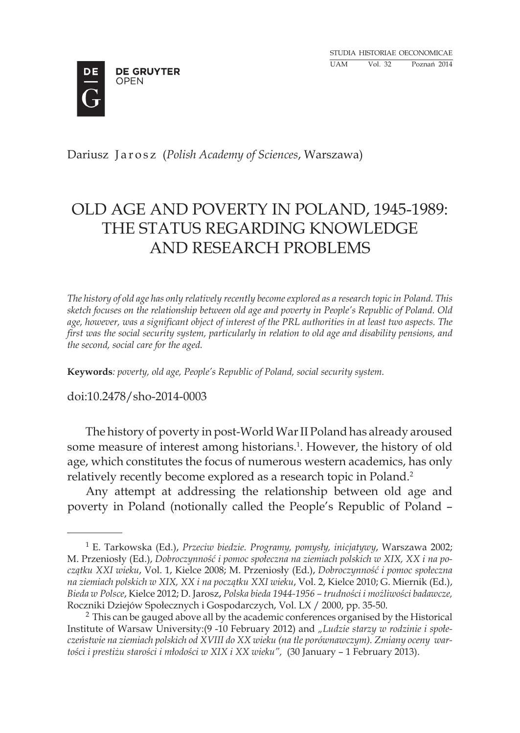Studia historiae oeconomicae UAM Vol. 32 Poznań 2014



Dariusz J a r o s z (*Polish Academy of Sciences*, Warszawa)

# OLD AGE AND POVERTY IN POLAND, 1945-1989: THE STATUS REGARDING KNOWLEDGE AND RESEARCH PROBLEMS

*The history of old age has only relatively recently become explored as a research topic in Poland. This sketch focuses on the relationship between old age and poverty in People's Republic of Poland. Old age, however, was a significant object of interest of the PRL authorities in at least two aspects. The first was the social security system, particularly in relation to old age and disability pensions, and the second, social care for the aged.*

**Keywords***: poverty, old age, People's Republic of Poland, social security system.*

doi:10.2478/sho-2014-0003

The history of poverty in post-World War II Poland has already aroused some measure of interest among historians.<sup>1</sup>. However, the history of old age, which constitutes the focus of numerous western academics, has only relatively recently become explored as a research topic in Poland.<sup>2</sup>

Any attempt at addressing the relationship between old age and poverty in Poland (notionally called the People's Republic of Poland –

<sup>1</sup> E. Tarkowska (Ed.), *Przeciw biedzie. Programy, pomysły, inicjatywy*, Warszawa 2002; M. Przeniosły (Ed.), *Dobroczynność i pomoc społeczna na ziemiach polskich w XIX, XX i na początku XXI wieku*, Vol. 1, Kielce 2008; M. Przeniosły (Ed.), *Dobroczynność i pomoc społeczna na ziemiach polskich w XIX, XX i na początku XXI wieku*, Vol. 2, Kielce 2010; G. Miernik (Ed.), *Bieda w Polsce*, Kielce 2012; D. Jarosz, *Polska bieda 1944-1956 – trudności i możliwości badawcze,* Roczniki Dziejów Społecznych i Gospodarczych, Vol. LX / 2000, pp. 35-50.

<sup>2</sup> This can be gauged above all by the academic conferences organised by the Historical Institute of Warsaw University:(9 -10 February 2012) and *"Ludzie starzy w rodzinie i społeczeństwie na ziemiach polskich od XVIII do XX wieku (na tle porównawczym). Zmiany oceny wartości i prestiżu starości i młodości w XIX i XX wieku",* (30 January – 1 February 2013).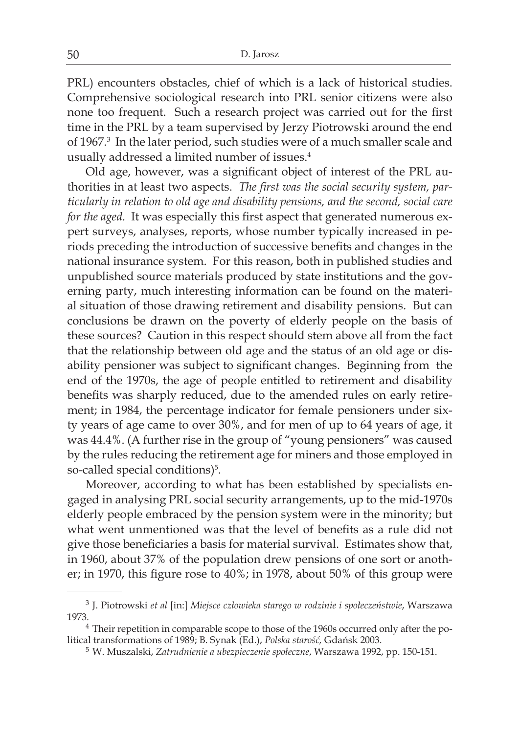PRL) encounters obstacles, chief of which is a lack of historical studies. Comprehensive sociological research into PRL senior citizens were also none too frequent. Such a research project was carried out for the first time in the PRL by a team supervised by Jerzy Piotrowski around the end of 1967.3 In the later period, such studies were of a much smaller scale and usually addressed a limited number of issues.<sup>4</sup>

Old age, however, was a significant object of interest of the PRL authorities in at least two aspects. *The first was the social security system, particularly in relation to old age and disability pensions, and the second, social care for the aged.* It was especially this first aspect that generated numerous expert surveys, analyses, reports, whose number typically increased in periods preceding the introduction of successive benefits and changes in the national insurance system. For this reason, both in published studies and unpublished source materials produced by state institutions and the governing party, much interesting information can be found on the material situation of those drawing retirement and disability pensions. But can conclusions be drawn on the poverty of elderly people on the basis of these sources? Caution in this respect should stem above all from the fact that the relationship between old age and the status of an old age or disability pensioner was subject to significant changes. Beginning from the end of the 1970s, the age of people entitled to retirement and disability benefits was sharply reduced, due to the amended rules on early retirement; in 1984, the percentage indicator for female pensioners under sixty years of age came to over 30%, and for men of up to 64 years of age, it was 44.4%. (A further rise in the group of "young pensioners" was caused by the rules reducing the retirement age for miners and those employed in so-called special conditions)<sup>5</sup>.

Moreover, according to what has been established by specialists engaged in analysing PRL social security arrangements, up to the mid-1970s elderly people embraced by the pension system were in the minority; but what went unmentioned was that the level of benefits as a rule did not give those beneficiaries a basis for material survival. Estimates show that, in 1960, about 37% of the population drew pensions of one sort or another; in 1970, this figure rose to 40%; in 1978, about 50% of this group were

<sup>3</sup> J. Piotrowski *et al* [in:] *Miejsce człowieka starego w rodzinie i społeczeństwie*, Warszawa 1973.

<sup>4</sup> Their repetition in comparable scope to those of the 1960s occurred only after the political transformations of 1989; B. Synak (Ed.), *Polska starość,* Gdańsk 2003.

<sup>5</sup> W. Muszalski, *Zatrudnienie a ubezpieczenie społeczne*, Warszawa 1992, pp. 150-151.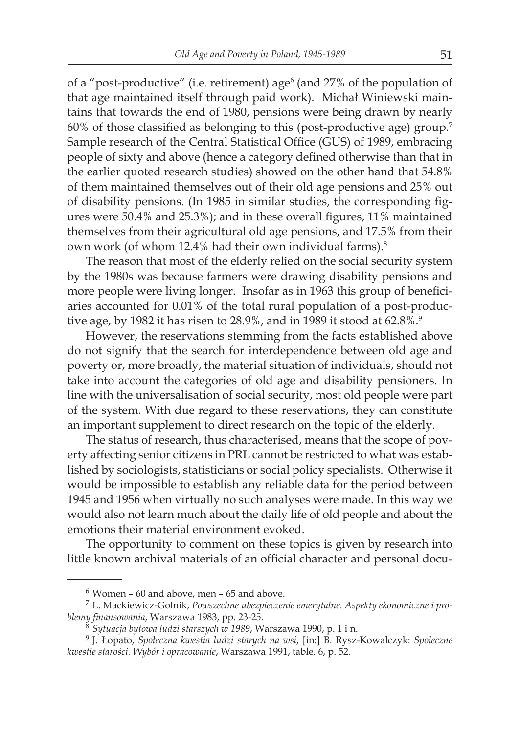of a "post-productive" (i.e. retirement) age<sup>6</sup> (and 27% of the population of that age maintained itself through paid work). Michał Winiewski maintains that towards the end of 1980, pensions were being drawn by nearly 60% of those classified as belonging to this (post-productive age) group.<sup>7</sup> Sample research of the Central Statistical Office (GUS) of 1989, embracing people of sixty and above (hence a category defined otherwise than that in the earlier quoted research studies) showed on the other hand that 54.8% of them maintained themselves out of their old age pensions and 25% out of disability pensions. (In 1985 in similar studies, the corresponding figures were 50.4% and 25.3%); and in these overall figures, 11% maintained themselves from their agricultural old age pensions, and 17.5% from their own work (of whom 12.4% had their own individual farms).<sup>8</sup>

The reason that most of the elderly relied on the social security system by the 1980s was because farmers were drawing disability pensions and more people were living longer. Insofar as in 1963 this group of beneficiaries accounted for 0.01% of the total rural population of a post-productive age, by 1982 it has risen to 28.9%, and in 1989 it stood at 62.8%.<sup>9</sup>

However, the reservations stemming from the facts established above do not signify that the search for interdependence between old age and poverty or, more broadly, the material situation of individuals, should not take into account the categories of old age and disability pensioners. In line with the universalisation of social security, most old people were part of the system. With due regard to these reservations, they can constitute an important supplement to direct research on the topic of the elderly.

The status of research, thus characterised, means that the scope of poverty affecting senior citizens in PRL cannot be restricted to what was established by sociologists, statisticians or social policy specialists. Otherwise it would be impossible to establish any reliable data for the period between 1945 and 1956 when virtually no such analyses were made. In this way we would also not learn much about the daily life of old people and about the emotions their material environment evoked.

The opportunity to comment on these topics is given by research into little known archival materials of an official character and personal docu-

 $6$  Women – 60 and above, men – 65 and above.

<sup>7</sup> L. Mackiewicz-Golnik, *Powszechne ubezpieczenie emerytalne. Aspekty ekonomiczne i problemy finansowania*, Warszawa 1983, pp. 23-25.

<sup>8</sup> *Sytuacja bytowa ludzi starszych w 1989*, Warszawa 1990, p. 1 i n.

<sup>9</sup> J. Łopato, *Społeczna kwestia ludzi starych na wsi*, [in:] B. Rysz-Kowalczyk: *Społeczne kwestie starości. Wybór i opracowanie*, Warszawa 1991, table. 6, p. 52.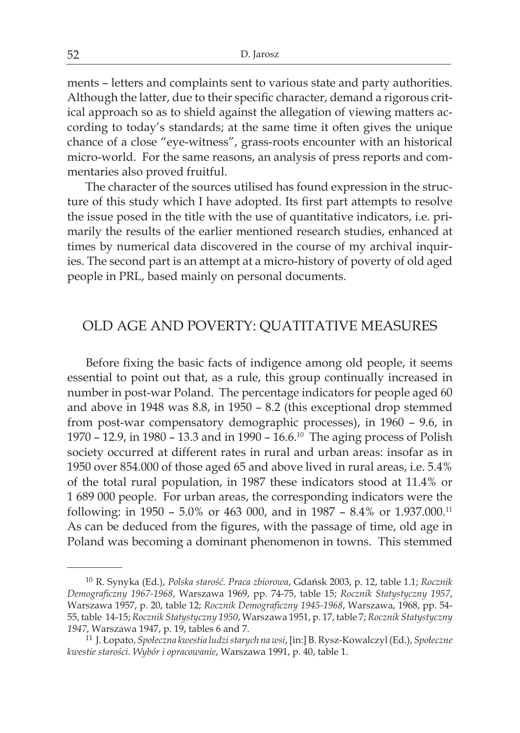ments – letters and complaints sent to various state and party authorities. Although the latter, due to their specific character, demand a rigorous critical approach so as to shield against the allegation of viewing matters according to today's standards; at the same time it often gives the unique chance of a close "eye-witness", grass-roots encounter with an historical micro-world. For the same reasons, an analysis of press reports and commentaries also proved fruitful.

The character of the sources utilised has found expression in the structure of this study which I have adopted. Its first part attempts to resolve the issue posed in the title with the use of quantitative indicators, i.e. primarily the results of the earlier mentioned research studies, enhanced at times by numerical data discovered in the course of my archival inquiries. The second part is an attempt at a micro-history of poverty of old aged people in PRL, based mainly on personal documents.

### OLD AGE AND POVERTY: QUATITATIVE MEASURES

Before fixing the basic facts of indigence among old people, it seems essential to point out that, as a rule, this group continually increased in number in post-war Poland. The percentage indicators for people aged 60 and above in 1948 was 8.8, in 1950 – 8.2 (this exceptional drop stemmed from post-war compensatory demographic processes), in 1960 – 9.6, in 1970 – 12.9, in 1980 – 13.3 and in 1990 – 16.6.10 The aging process of Polish society occurred at different rates in rural and urban areas: insofar as in 1950 over 854.000 of those aged 65 and above lived in rural areas, i.e. 5.4% of the total rural population, in 1987 these indicators stood at 11.4% or 1 689 000 people. For urban areas, the corresponding indicators were the following: in 1950 – 5.0% or 463 000, and in 1987 – 8.4% or 1.937.000.<sup>11</sup> As can be deduced from the figures, with the passage of time, old age in Poland was becoming a dominant phenomenon in towns. This stemmed

<sup>10</sup> R. Synyka (Ed.), *Polska starość. Praca zbiorowa*, Gdańsk 2003, p. 12, table 1.1; *Rocznik Demograficzny 1967-1968*, Warszawa 1969, pp. 74-75, table 15; *Rocznik Statystyczny 1957*, Warszawa 1957, p. 20, table 12; *Rocznik Demograficzny 1945-1968*, Warszawa, 1968, pp. 54- 55, table 14-15; *Rocznik Statystyczny 1950*, Warszawa 1951, p. 17, table 7; *Rocznik Statystyczny 1947*, Warszawa 1947, p. 19, tables 6 and 7.

<sup>11</sup> J. Łopato, *Społeczna kwestia ludzi starych na wsi*, [in:] B. Rysz-Kowalczyl (Ed.), *Społeczne kwestie starości. Wybór i opracowanie*, Warszawa 1991, p. 40, table 1.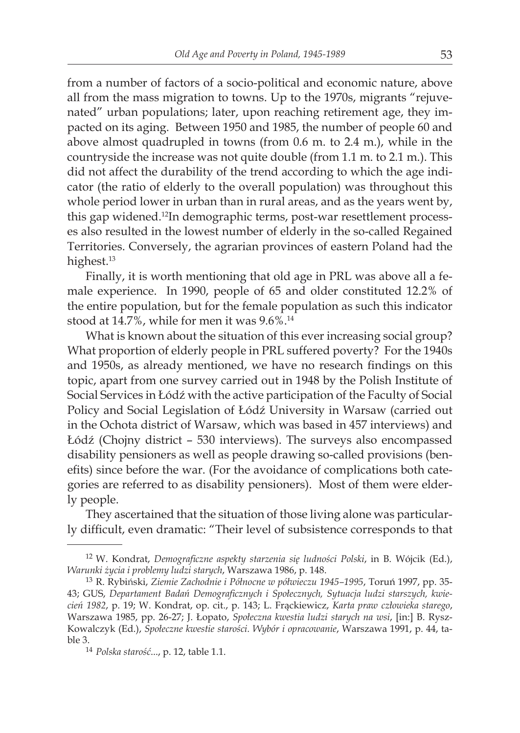from a number of factors of a socio-political and economic nature, above all from the mass migration to towns. Up to the 1970s, migrants "rejuvenated" urban populations; later, upon reaching retirement age, they impacted on its aging. Between 1950 and 1985, the number of people 60 and above almost quadrupled in towns (from 0.6 m. to 2.4 m.), while in the countryside the increase was not quite double (from 1.1 m. to 2.1 m.). This did not affect the durability of the trend according to which the age indicator (the ratio of elderly to the overall population) was throughout this whole period lower in urban than in rural areas, and as the years went by, this gap widened.12In demographic terms, post-war resettlement processes also resulted in the lowest number of elderly in the so-called Regained Territories. Conversely, the agrarian provinces of eastern Poland had the highest.<sup>13</sup>

Finally, it is worth mentioning that old age in PRL was above all a female experience. In 1990, people of 65 and older constituted 12.2% of the entire population, but for the female population as such this indicator stood at 14.7%, while for men it was 9.6%.14

What is known about the situation of this ever increasing social group? What proportion of elderly people in PRL suffered poverty? For the 1940s and 1950s, as already mentioned, we have no research findings on this topic, apart from one survey carried out in 1948 by the Polish Institute of Social Services in Łódź with the active participation of the Faculty of Social Policy and Social Legislation of Łódź University in Warsaw (carried out in the Ochota district of Warsaw, which was based in 457 interviews) and Łódź (Chojny district – 530 interviews). The surveys also encompassed disability pensioners as well as people drawing so-called provisions (benefits) since before the war. (For the avoidance of complications both categories are referred to as disability pensioners). Most of them were elderly people.

They ascertained that the situation of those living alone was particularly difficult, even dramatic: "Their level of subsistence corresponds to that

<sup>12</sup> W. Kondrat, *Demograficzne aspekty starzenia się ludności Polski*, in B. Wójcik (Ed.), *Warunki życia i problemy ludzi starych*, Warszawa 1986, p. 148.

<sup>13</sup> R. Rybiński, *Ziemie Zachodnie i Północne w półwieczu 1945–1995*, Toruń 1997, pp. 35- 43; GUS, *Departament Badań Demograficznych i Społecznych, Sytuacja ludzi starszych, kwiecień 1982*, p. 19; W. Kondrat, op. cit., p. 143; L. Frąckiewicz, *Karta praw człowieka starego*, Warszawa 1985, pp. 26-27; J. Łopato, *Społeczna kwestia ludzi starych na wsi*, [in:] B. Rysz-Kowalczyk (Ed.), *Społeczne kwestie starości. Wybór i opracowanie*, Warszawa 1991, p. 44, table 3.

<sup>14</sup> *Polska starość*..., p. 12, table 1.1.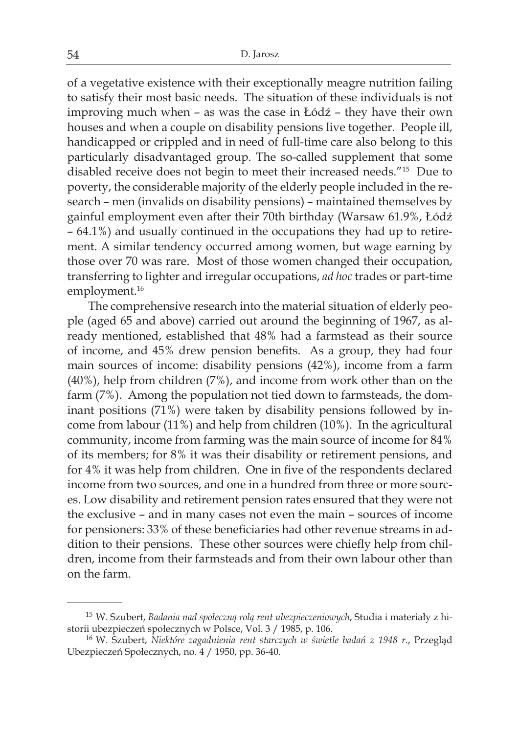of a vegetative existence with their exceptionally meagre nutrition failing to satisfy their most basic needs. The situation of these individuals is not improving much when – as was the case in Łódź – they have their own houses and when a couple on disability pensions live together. People ill, handicapped or crippled and in need of full-time care also belong to this particularly disadvantaged group. The so-called supplement that some disabled receive does not begin to meet their increased needs."<sup>15</sup> Due to poverty, the considerable majority of the elderly people included in the research – men (invalids on disability pensions) – maintained themselves by gainful employment even after their 70th birthday (Warsaw 61.9%, Łódź – 64.1%) and usually continued in the occupations they had up to retirement. A similar tendency occurred among women, but wage earning by those over 70 was rare. Most of those women changed their occupation, transferring to lighter and irregular occupations, *ad hoc* trades or part-time employment.<sup>16</sup>

 The comprehensive research into the material situation of elderly people (aged 65 and above) carried out around the beginning of 1967, as already mentioned, established that 48% had a farmstead as their source of income, and 45% drew pension benefits. As a group, they had four main sources of income: disability pensions (42%), income from a farm (40%), help from children (7%), and income from work other than on the farm (7%). Among the population not tied down to farmsteads, the dominant positions (71%) were taken by disability pensions followed by income from labour (11%) and help from children (10%). In the agricultural community, income from farming was the main source of income for 84% of its members; for 8% it was their disability or retirement pensions, and for 4% it was help from children. One in five of the respondents declared income from two sources, and one in a hundred from three or more sources. Low disability and retirement pension rates ensured that they were not the exclusive – and in many cases not even the main – sources of income for pensioners: 33% of these beneficiaries had other revenue streams in addition to their pensions. These other sources were chiefly help from children, income from their farmsteads and from their own labour other than on the farm.

<sup>15</sup> W. Szubert, *Badania nad społeczną rolą rent ubezpieczeniowych*, Studia i materiały z historii ubezpieczeń społecznych w Polsce, Vol. 3 / 1985, p. 106.

<sup>16</sup> W. Szubert, *Niektóre zagadnienia rent starczych w świetle badań z 1948 r*., Przegląd Ubezpieczeń Społecznych, no. 4 / 1950, pp. 36-40.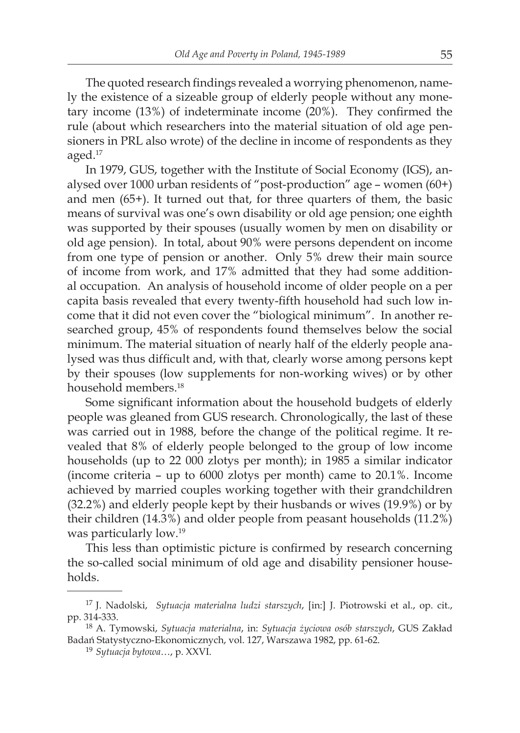The quoted research findings revealed a worrying phenomenon, namely the existence of a sizeable group of elderly people without any monetary income (13%) of indeterminate income (20%). They confirmed the rule (about which researchers into the material situation of old age pensioners in PRL also wrote) of the decline in income of respondents as they aged.17

In 1979, GUS, together with the Institute of Social Economy (IGS), analysed over 1000 urban residents of "post-production" age – women (60+) and men (65+). It turned out that, for three quarters of them, the basic means of survival was one's own disability or old age pension; one eighth was supported by their spouses (usually women by men on disability or old age pension). In total, about 90% were persons dependent on income from one type of pension or another. Only 5% drew their main source of income from work, and 17% admitted that they had some additional occupation. An analysis of household income of older people on a per capita basis revealed that every twenty-fifth household had such low income that it did not even cover the "biological minimum". In another researched group, 45% of respondents found themselves below the social minimum. The material situation of nearly half of the elderly people analysed was thus difficult and, with that, clearly worse among persons kept by their spouses (low supplements for non-working wives) or by other household members.18

Some significant information about the household budgets of elderly people was gleaned from GUS research. Chronologically, the last of these was carried out in 1988, before the change of the political regime. It revealed that 8% of elderly people belonged to the group of low income households (up to 22 000 zlotys per month); in 1985 a similar indicator (income criteria – up to 6000 zlotys per month) came to 20.1%. Income achieved by married couples working together with their grandchildren (32.2%) and elderly people kept by their husbands or wives (19.9%) or by their children (14.3%) and older people from peasant households (11.2%) was particularly low.19

This less than optimistic picture is confirmed by research concerning the so-called social minimum of old age and disability pensioner households.

<sup>17</sup> J. Nadolski, *Sytuacja materialna ludzi starszych*, [in:] J. Piotrowski et al., op. cit., pp. 314-333.

<sup>18</sup> A. Tymowski, *Sytuacja materialna*, in: *Sytuacja życiowa osób starszych*, GUS Zakład Badań Statystyczno-Ekonomicznych, vol. 127, Warszawa 1982, pp. 61-62.

<sup>19</sup> *Sytuacja bytowa*…, p. XXVI.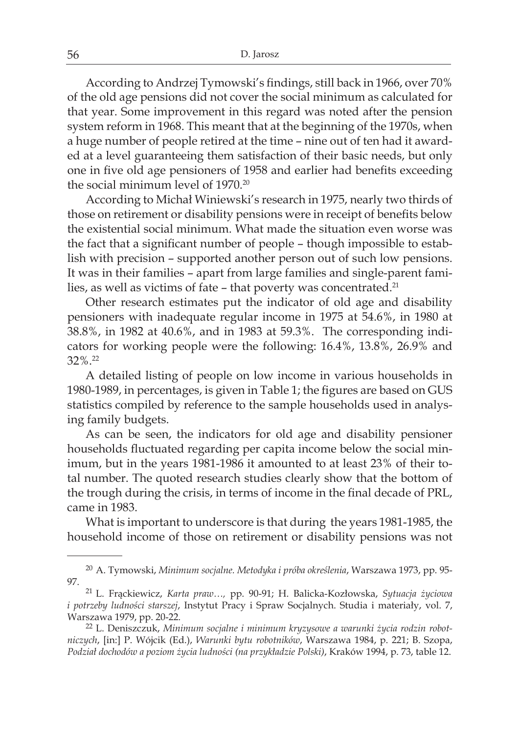According to Andrzej Tymowski's findings, still back in 1966, over 70% of the old age pensions did not cover the social minimum as calculated for that year. Some improvement in this regard was noted after the pension system reform in 1968. This meant that at the beginning of the 1970s, when a huge number of people retired at the time – nine out of ten had it awarded at a level guaranteeing them satisfaction of their basic needs, but only one in five old age pensioners of 1958 and earlier had benefits exceeding the social minimum level of 1970.<sup>20</sup>

According to Michał Winiewski's research in 1975, nearly two thirds of those on retirement or disability pensions were in receipt of benefits below the existential social minimum. What made the situation even worse was the fact that a significant number of people – though impossible to establish with precision – supported another person out of such low pensions. It was in their families – apart from large families and single-parent families, as well as victims of fate - that poverty was concentrated.<sup>21</sup>

Other research estimates put the indicator of old age and disability pensioners with inadequate regular income in 1975 at 54.6%, in 1980 at 38.8%, in 1982 at 40.6%, and in 1983 at 59.3%. The corresponding indicators for working people were the following: 16.4%, 13.8%, 26.9% and 32%.22

A detailed listing of people on low income in various households in 1980-1989, in percentages, is given in Table 1; the figures are based on GUS statistics compiled by reference to the sample households used in analysing family budgets.

As can be seen, the indicators for old age and disability pensioner households fluctuated regarding per capita income below the social minimum, but in the years 1981-1986 it amounted to at least 23% of their total number. The quoted research studies clearly show that the bottom of the trough during the crisis, in terms of income in the final decade of PRL, came in 1983.

What is important to underscore is that during the years 1981-1985, the household income of those on retirement or disability pensions was not

<sup>20</sup> A. Tymowski, *Minimum socjalne. Metodyka i próba określenia*, Warszawa 1973, pp. 95- 97.

<sup>21</sup> L. Frąckiewicz, *Karta praw…,* pp. 90-91; H. Balicka-Kozłowska, *Sytuacja życiowa i potrzeby ludności starszej*, Instytut Pracy i Spraw Socjalnych. Studia i materiały, vol. 7, Warszawa 1979, pp. 20-22.

<sup>22</sup> L. Deniszczuk, *Minimum socjalne i minimum kryzysowe a warunki życia rodzin robotniczych*, [in:] P. Wójcik (Ed.), *Warunki bytu robotników*, Warszawa 1984, p. 221; B. Szopa, *Podział dochodów a poziom życia ludności (na przykładzie Polski)*, Kraków 1994, p. 73, table 12.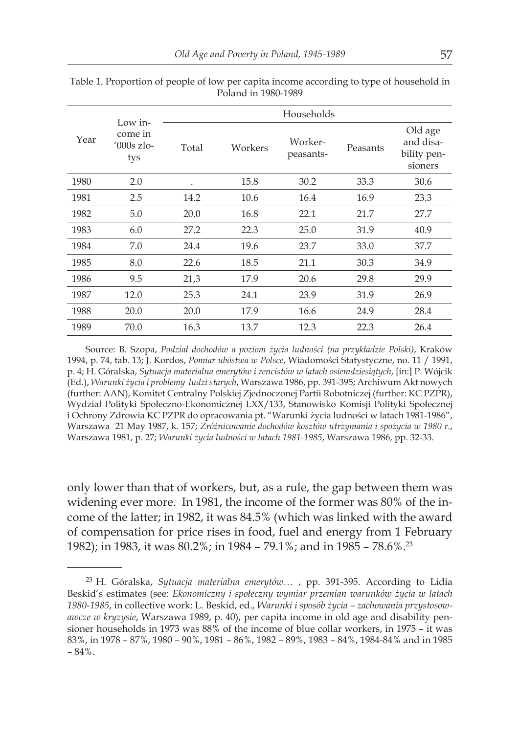| Year | Low in-<br>come in<br>$'000s$ zlo-<br>tys | Households |         |                      |          |                                                |  |
|------|-------------------------------------------|------------|---------|----------------------|----------|------------------------------------------------|--|
|      |                                           | Total      | Workers | Worker-<br>peasants- | Peasants | Old age<br>and disa-<br>bility pen-<br>sioners |  |
| 1980 | 2.0                                       | ٠          | 15.8    | 30.2                 | 33.3     | 30.6                                           |  |
| 1981 | 2.5                                       | 14.2       | 10.6    | 16.4                 | 16.9     | 23.3                                           |  |
| 1982 | 5.0                                       | 20.0       | 16.8    | 22.1                 | 21.7     | 27.7                                           |  |
| 1983 | 6.0                                       | 27.2       | 22.3    | 25.0                 | 31.9     | 40.9                                           |  |
| 1984 | 7.0                                       | 24.4       | 19.6    | 23.7                 | 33.0     | 37.7                                           |  |
| 1985 | 8.0                                       | 22.6       | 18.5    | 21.1                 | 30.3     | 34.9                                           |  |
| 1986 | 9.5                                       | 21,3       | 17.9    | 20.6                 | 29.8     | 29.9                                           |  |
| 1987 | 12.0                                      | 25.3       | 24.1    | 23.9                 | 31.9     | 26.9                                           |  |
| 1988 | 20.0                                      | 20.0       | 17.9    | 16.6                 | 24.9     | 28.4                                           |  |
| 1989 | 70.0                                      | 16.3       | 13.7    | 12.3                 | 22.3     | 26.4                                           |  |

Table 1. Proportion of people of low per capita income according to type of household in Poland in 1980-1989

Source: B. Szopa, *Podział dochodów a poziom życia ludności (na przykładzie Polski)*, Kraków 1994, p. 74, tab. 13; J. Kordos, *Pomiar ubóstwa w Polsce*, Wiadomości Statystyczne, no. 11 / 1991, p. 4; H. Góralska, *Sytuacja materialna emerytów i rencistów w latach osiemdziesiątych*, [in:] P. Wójcik (Ed.), *Warunki życia i problemy ludzi starych*, Warszawa 1986, pp. 391-395; Archiwum Akt nowych (further: AAN), Komitet Centralny Polskiej Zjednoczonej Partii Robotniczej (further: KC PZPR), Wydział Polityki Społeczno-Ekonomicznej LXX/133, Stanowisko Komisji Polityki Społecznej i Ochrony Zdrowia KC PZPR do opracowania pt. "Warunki życia ludności w latach 1981-1986", Warszawa 21 May 1987, k. 157; *Zróżnicowanie dochodów kosztów utrzymania i spożycia w 1980 r.*, Warszawa 1981, p. 27; *Warunki życia ludności w latach 1981-1985*, Warszawa 1986, pp. 32-33.

only lower than that of workers, but, as a rule, the gap between them was widening ever more. In 1981, the income of the former was 80% of the income of the latter; in 1982, it was 84.5% (which was linked with the award of compensation for price rises in food, fuel and energy from 1 February 1982); in 1983, it was 80.2%; in 1984 – 79.1%; and in 1985 – 78.6%.<sup>23</sup>

<sup>23</sup> H. Góralska, *Sytuacja materialna emerytów…* , pp. 391-395. According to Lidia Beskid's estimates (see: *Ekonomiczny i społeczny wymiar przemian warunków życia w latach 1980-1985*, in collective work: L. Beskid, ed., *Warunki i sposób życia – zachowania przystosowawcze w kryzysie*, Warszawa 1989, p. 40), per capita income in old age and disability pensioner households in 1973 was 88% of the income of blue collar workers, in 1975 – it was 83%, in 1978 – 87%, 1980 – 90%, 1981 – 86%, 1982 – 89%, 1983 – 84%, 1984-84% and in 1985  $-84%$ .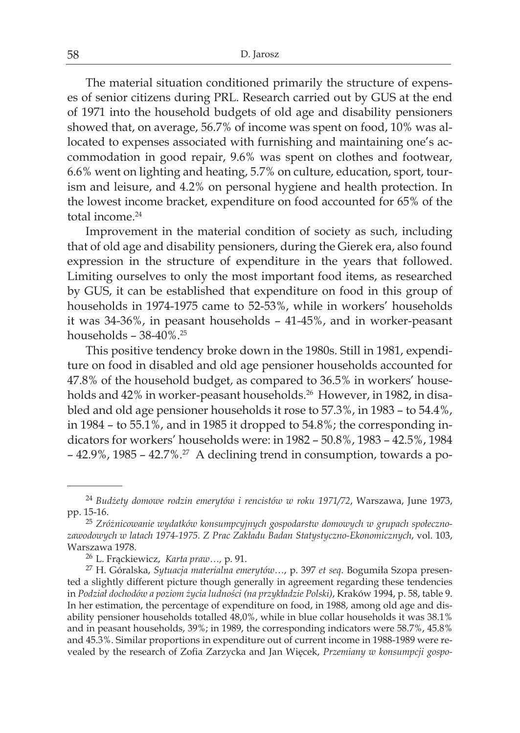The material situation conditioned primarily the structure of expenses of senior citizens during PRL. Research carried out by GUS at the end of 1971 into the household budgets of old age and disability pensioners showed that, on average, 56.7% of income was spent on food, 10% was allocated to expenses associated with furnishing and maintaining one's accommodation in good repair, 9.6% was spent on clothes and footwear, 6.6% went on lighting and heating, 5.7% on culture, education, sport, tourism and leisure, and 4.2% on personal hygiene and health protection. In the lowest income bracket, expenditure on food accounted for 65% of the total income.<sup>24</sup>

Improvement in the material condition of society as such, including that of old age and disability pensioners, during the Gierek era, also found expression in the structure of expenditure in the years that followed. Limiting ourselves to only the most important food items, as researched by GUS, it can be established that expenditure on food in this group of households in 1974-1975 came to 52-53%, while in workers' households it was 34-36%, in peasant households – 41-45%, and in worker-peasant households –  $38-40\%$ .<sup>25</sup>

This positive tendency broke down in the 1980s. Still in 1981, expenditure on food in disabled and old age pensioner households accounted for 47.8% of the household budget, as compared to 36.5% in workers' households and 42% in worker-peasant households.<sup>26</sup> However, in 1982, in disabled and old age pensioner households it rose to 57.3%, in 1983 – to 54.4%, in 1984 – to 55.1%, and in 1985 it dropped to 54.8%; the corresponding indicators for workers' households were: in 1982 – 50.8%, 1983 – 42.5%, 1984 – 42.9%, 1985 – 42.7%.27 A declining trend in consumption, towards a po-

<sup>24</sup> *Budżety domowe rodzin emerytów i rencistów w roku 1971/72*, Warszawa, June 1973, pp. 15-16.

<sup>25</sup> *Zróżnicowanie wydatków konsumpcyjnych gospodarstw domowych w grupach społecznozawodowych w latach 1974-1975. Z Prac Zakładu Badan Statystyczno-Ekonomicznych*, vol. 103, Warszawa 1978.

<sup>26</sup> L. Frąckiewicz, *Karta praw…,* p. 91.

<sup>27</sup> H. Góralska, *Sytuacja materialna emerytów…*, p. 397 *et seq*. Bogumiła Szopa presented a slightly different picture though generally in agreement regarding these tendencies in *Podział dochodów a poziom życia ludności (na przykładzie Polski)*, Kraków 1994, p. 58, table 9. In her estimation, the percentage of expenditure on food, in 1988, among old age and disability pensioner households totalled 48,0%, while in blue collar households it was 38.1% and in peasant households, 39%; in 1989, the corresponding indicators were 58.7%, 45.8% and 45.3%. Similar proportions in expenditure out of current income in 1988-1989 were revealed by the research of Zofia Zarzycka and Jan Więcek, *Przemiany w konsumpcji gospo-*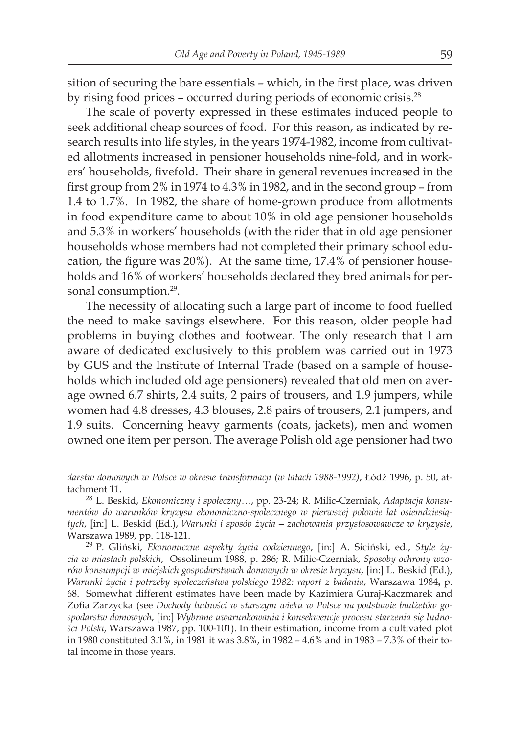sition of securing the bare essentials – which, in the first place, was driven by rising food prices - occurred during periods of economic crisis.<sup>28</sup>

The scale of poverty expressed in these estimates induced people to seek additional cheap sources of food. For this reason, as indicated by research results into life styles, in the years 1974-1982, income from cultivated allotments increased in pensioner households nine-fold, and in workers' households, fivefold. Their share in general revenues increased in the first group from 2% in 1974 to 4.3% in 1982, and in the second group – from 1.4 to 1.7%. In 1982, the share of home-grown produce from allotments in food expenditure came to about 10% in old age pensioner households and 5.3% in workers' households (with the rider that in old age pensioner households whose members had not completed their primary school education, the figure was 20%). At the same time, 17.4% of pensioner households and 16% of workers' households declared they bred animals for personal consumption.<sup>29</sup>.

The necessity of allocating such a large part of income to food fuelled the need to make savings elsewhere. For this reason, older people had problems in buying clothes and footwear. The only research that I am aware of dedicated exclusively to this problem was carried out in 1973 by GUS and the Institute of Internal Trade (based on a sample of households which included old age pensioners) revealed that old men on average owned 6.7 shirts, 2.4 suits, 2 pairs of trousers, and 1.9 jumpers, while women had 4.8 dresses, 4.3 blouses, 2.8 pairs of trousers, 2.1 jumpers, and 1.9 suits. Concerning heavy garments (coats, jackets), men and women owned one item per person. The average Polish old age pensioner had two

*darstw domowych w Polsce w okresie transformacji (w latach 1988-1992)*, Łódź 1996, p. 50, attachment 11.

<sup>28</sup> L. Beskid, *Ekonomiczny i społeczny…*, pp. 23-24; R. Milic-Czerniak, *Adaptacja konsumentów do warunków kryzysu ekonomiczno-społecznego w pierwszej połowie lat osiemdziesiątych*, [in:] L. Beskid (Ed.), *Warunki i sposób życia – zachowania przystosowawcze w kryzysie*, Warszawa 1989, pp. 118-121.

<sup>29</sup> P. Gliński, *Ekonomiczne aspekty życia codziennego*, [in:] A. Siciński, ed., *Style życia w miastach polskich*, Ossolineum 1988, p. 286; R. Milic-Czerniak, *Sposoby ochrony wzorów konsumpcji w miejskich gospodarstwach domowych w okresie kryzysu*, [in:] L. Beskid (Ed.), *Warunki życia i potrzeby społeczeństwa polskiego 1982: raport z badania*, Warszawa 1984**,** p. 68. Somewhat different estimates have been made by Kazimiera Guraj-Kaczmarek and Zofia Zarzycka (see *Dochody ludności w starszym wieku w Polsce na podstawie budżetów gospodarstw domowych*, [in:] *Wybrane uwarunkowania i konsekwencje procesu starzenia się ludności Polski*, Warszawa 1987, pp. 100-101). In their estimation, income from a cultivated plot in 1980 constituted 3.1%, in 1981 it was 3.8%, in 1982 – 4.6% and in 1983 – 7.3% of their total income in those years.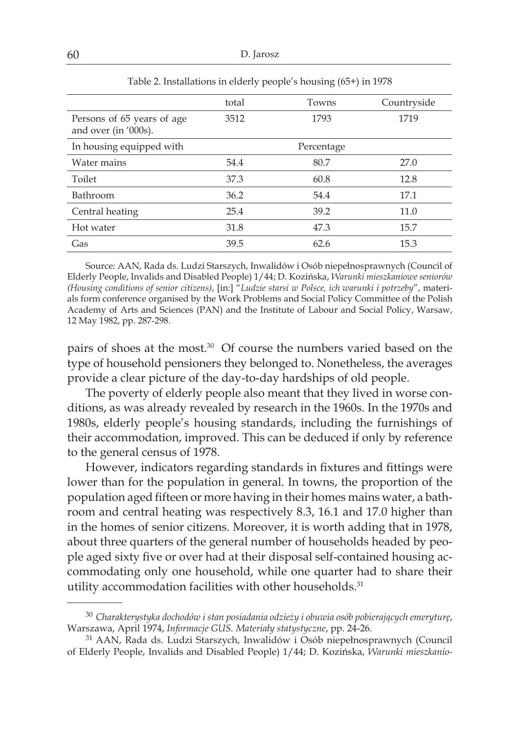|                                                    | total | Towns      | Countryside |
|----------------------------------------------------|-------|------------|-------------|
| Persons of 65 years of age<br>and over (in '000s). | 3512  | 1793       | 1719        |
| In housing equipped with                           |       | Percentage |             |
| Water mains                                        | 54.4  | 80.7       | 27.0        |
| Toilet                                             | 37.3  | 60.8       | 12.8        |
| Bathroom                                           | 36.2  | 54.4       | 17.1        |
| Central heating                                    | 25.4  | 39.2       | 11.0        |
| Hot water                                          | 31.8  | 47.3       | 15.7        |
| Gas                                                | 39.5  | 62.6       | 15.3        |

Table 2. Installations in elderly people's housing (65+) in 1978

Source: AAN, Rada ds. Ludzi Starszych, Inwalidów i Osób niepełnosprawnych (Council of Elderly People, Invalids and Disabled People) 1/44; D. Kozińska, *Warunki mieszkaniowe seniorów (Housing conditions of senior citizens)*, [in:] "*Ludzie starsi w Polsce, ich warunki i potrzeby*", materials form conference organised by the Work Problems and Social Policy Committee of the Polish Academy of Arts and Sciences (PAN) and the Institute of Labour and Social Policy, Warsaw, 12 May 1982, pp. 287-298.

pairs of shoes at the most.<sup>30</sup> Of course the numbers varied based on the type of household pensioners they belonged to. Nonetheless, the averages provide a clear picture of the day-to-day hardships of old people.

The poverty of elderly people also meant that they lived in worse conditions, as was already revealed by research in the 1960s. In the 1970s and 1980s, elderly people's housing standards, including the furnishings of their accommodation, improved. This can be deduced if only by reference to the general census of 1978.

However, indicators regarding standards in fixtures and fittings were lower than for the population in general. In towns, the proportion of the population aged fifteen or more having in their homes mains water, a bathroom and central heating was respectively 8.3, 16.1 and 17.0 higher than in the homes of senior citizens. Moreover, it is worth adding that in 1978, about three quarters of the general number of households headed by people aged sixty five or over had at their disposal self-contained housing accommodating only one household, while one quarter had to share their utility accommodation facilities with other households.<sup>31</sup>

<sup>30</sup> *Charakterystyka dochodów i stan posiadania odzieży i obuwia osób pobierających emeryturę*, Warszawa, April 1974, *Informacje GUS. Materiały statystyczne*, pp. 24-26.

<sup>&</sup>lt;sup>31</sup> AAN, Rada ds. Ludzi Starszych, Inwalidów i Osób niepełnosprawnych (Council of Elderly People, Invalids and Disabled People) 1/44; D. Kozińska, *Warunki mieszkanio-*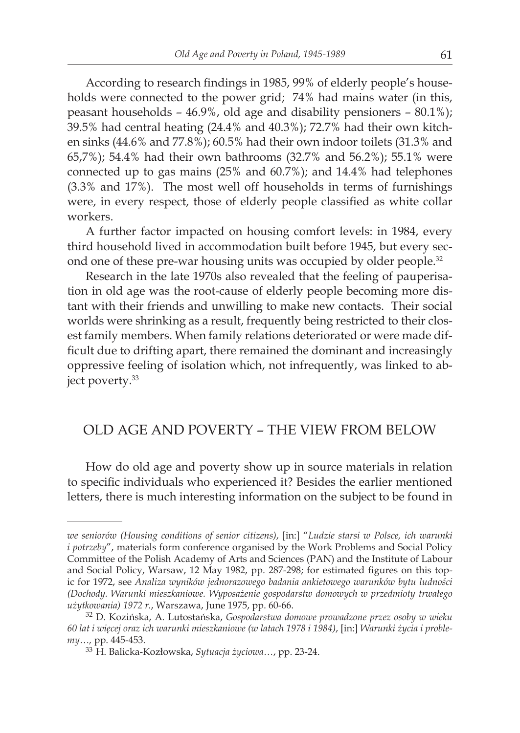According to research findings in 1985, 99% of elderly people's households were connected to the power grid; 74% had mains water (in this, peasant households – 46.9%, old age and disability pensioners – 80.1%); 39.5% had central heating (24.4% and 40.3%); 72.7% had their own kitchen sinks (44.6% and 77.8%); 60.5% had their own indoor toilets (31.3% and 65,7%); 54.4% had their own bathrooms (32.7% and 56.2%); 55.1% were connected up to gas mains (25% and 60.7%); and 14.4% had telephones (3.3% and 17%). The most well off households in terms of furnishings were, in every respect, those of elderly people classified as white collar workers.

A further factor impacted on housing comfort levels: in 1984, every third household lived in accommodation built before 1945, but every second one of these pre-war housing units was occupied by older people.<sup>32</sup>

Research in the late 1970s also revealed that the feeling of pauperisation in old age was the root-cause of elderly people becoming more distant with their friends and unwilling to make new contacts. Their social worlds were shrinking as a result, frequently being restricted to their closest family members. When family relations deteriorated or were made difficult due to drifting apart, there remained the dominant and increasingly oppressive feeling of isolation which, not infrequently, was linked to abject poverty.<sup>33</sup>

# OLD AGE AND POVERTY – THE VIEW FROM BELOW

How do old age and poverty show up in source materials in relation to specific individuals who experienced it? Besides the earlier mentioned letters, there is much interesting information on the subject to be found in

*we seniorów (Housing conditions of senior citizens)*, [in:] "*Ludzie starsi w Polsce, ich warunki i potrzeby*", materials form conference organised by the Work Problems and Social Policy Committee of the Polish Academy of Arts and Sciences (PAN) and the Institute of Labour and Social Policy, Warsaw, 12 May 1982, pp. 287-298; for estimated figures on this topic for 1972, see *Analiza wyników jednorazowego badania ankietowego warunków bytu ludności (Dochody. Warunki mieszkaniowe. Wyposażenie gospodarstw domowych w przedmioty trwałego użytkowania) 1972 r.*, Warszawa, June 1975, pp. 60-66.

<sup>32</sup> D. Kozińska, A. Lutostańska, *Gospodarstwa domowe prowadzone przez osoby w wieku 60 lat i więcej oraz ich warunki mieszkaniowe (w latach 1978 i 1984)*, [in:] *Warunki życia i problemy…,* pp. 445-453.

<sup>33</sup> H. Balicka-Kozłowska, *Sytuacja życiowa…*, pp. 23-24.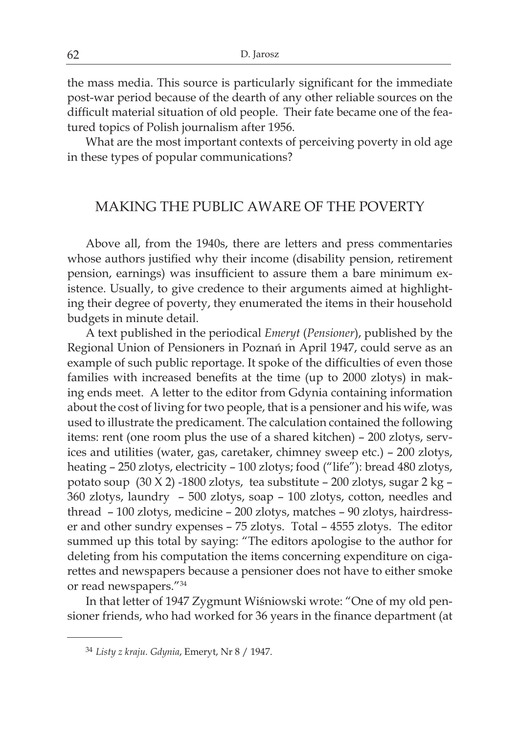the mass media. This source is particularly significant for the immediate post-war period because of the dearth of any other reliable sources on the difficult material situation of old people. Their fate became one of the featured topics of Polish journalism after 1956.

What are the most important contexts of perceiving poverty in old age in these types of popular communications?

#### MAKING THE PUBLIC AWARE OF THE POVERTY

Above all, from the 1940s, there are letters and press commentaries whose authors justified why their income (disability pension, retirement pension, earnings) was insufficient to assure them a bare minimum existence. Usually, to give credence to their arguments aimed at highlighting their degree of poverty, they enumerated the items in their household budgets in minute detail.

A text published in the periodical *Emeryt* (*Pensioner*), published by the Regional Union of Pensioners in Poznań in April 1947, could serve as an example of such public reportage. It spoke of the difficulties of even those families with increased benefits at the time (up to 2000 zlotys) in making ends meet. A letter to the editor from Gdynia containing information about the cost of living for two people, that is a pensioner and his wife, was used to illustrate the predicament. The calculation contained the following items: rent (one room plus the use of a shared kitchen) – 200 zlotys, services and utilities (water, gas, caretaker, chimney sweep etc.) – 200 zlotys, heating – 250 zlotys, electricity – 100 zlotys; food ("life"): bread 480 zlotys, potato soup (30 X 2) -1800 zlotys, tea substitute – 200 zlotys, sugar 2 kg – 360 zlotys, laundry – 500 zlotys, soap – 100 zlotys, cotton, needles and thread – 100 zlotys, medicine – 200 zlotys, matches – 90 zlotys, hairdresser and other sundry expenses – 75 zlotys. Total – 4555 zlotys. The editor summed up this total by saying: "The editors apologise to the author for deleting from his computation the items concerning expenditure on cigarettes and newspapers because a pensioner does not have to either smoke or read newspapers."34

In that letter of 1947 Zygmunt Wiśniowski wrote: "One of my old pensioner friends, who had worked for 36 years in the finance department (at

<sup>34</sup> *Listy z kraju. Gdynia*, Emeryt, Nr 8 / 1947.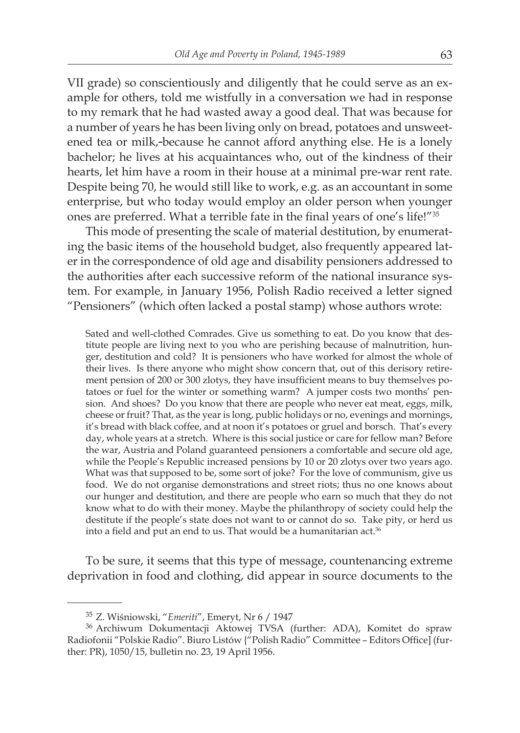VII grade) so conscientiously and diligently that he could serve as an example for others, told me wistfully in a conversation we had in response to my remark that he had wasted away a good deal. That was because for a number of years he has been living only on bread, potatoes and unsweetened tea or milk, because he cannot afford anything else. He is a lonely bachelor; he lives at his acquaintances who, out of the kindness of their hearts, let him have a room in their house at a minimal pre-war rent rate. Despite being 70, he would still like to work, e.g. as an accountant in some enterprise, but who today would employ an older person when younger ones are preferred. What a terrible fate in the final years of one's life!"35

This mode of presenting the scale of material destitution, by enumerating the basic items of the household budget, also frequently appeared later in the correspondence of old age and disability pensioners addressed to the authorities after each successive reform of the national insurance system. For example, in January 1956, Polish Radio received a letter signed "Pensioners" (which often lacked a postal stamp) whose authors wrote:

Sated and well-clothed Comrades. Give us something to eat. Do you know that destitute people are living next to you who are perishing because of malnutrition, hunger, destitution and cold? It is pensioners who have worked for almost the whole of their lives. Is there anyone who might show concern that, out of this derisory retirement pension of 200 or 300 zlotys, they have insufficient means to buy themselves potatoes or fuel for the winter or something warm? A jumper costs two months' pension. And shoes? Do you know that there are people who never eat meat, eggs, milk, cheese or fruit? That, as the year is long, public holidays or no, evenings and mornings, it's bread with black coffee, and at noon it's potatoes or gruel and borsch. That's every day, whole years at a stretch. Where is this social justice or care for fellow man? Before the war, Austria and Poland guaranteed pensioners a comfortable and secure old age, while the People's Republic increased pensions by 10 or 20 zlotys over two years ago. What was that supposed to be, some sort of joke? For the love of communism, give us food. We do not organise demonstrations and street riots; thus no one knows about our hunger and destitution, and there are people who earn so much that they do not know what to do with their money. Maybe the philanthropy of society could help the destitute if the people's state does not want to or cannot do so. Take pity, or herd us into a field and put an end to us. That would be a humanitarian act.<sup>36</sup>

To be sure, it seems that this type of message, countenancing extreme deprivation in food and clothing, did appear in source documents to the

<sup>35</sup> Z. Wiśniowski, "*Emeriti*", Emeryt, Nr 6 / 1947

<sup>36</sup> Archiwum Dokumentacji Aktowej TVSA (further: ADA), Komitet do spraw Radiofonii "Polskie Radio". Biuro Listów {"Polish Radio" Committee – Editors Office] (further: PR), 1050/15, bulletin no. 23, 19 April 1956.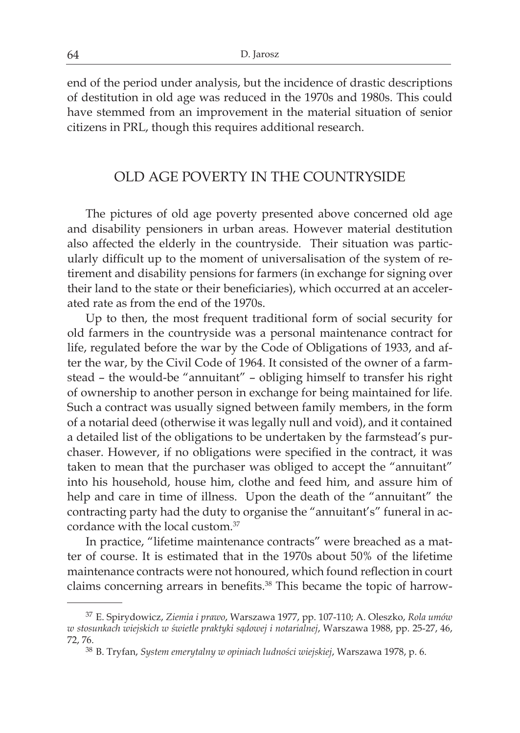end of the period under analysis, but the incidence of drastic descriptions of destitution in old age was reduced in the 1970s and 1980s. This could have stemmed from an improvement in the material situation of senior citizens in PRL, though this requires additional research.

#### OLD AGE POVERTY IN THE COUNTRYSIDE

The pictures of old age poverty presented above concerned old age and disability pensioners in urban areas. However material destitution also affected the elderly in the countryside. Their situation was particularly difficult up to the moment of universalisation of the system of retirement and disability pensions for farmers (in exchange for signing over their land to the state or their beneficiaries), which occurred at an accelerated rate as from the end of the 1970s.

Up to then, the most frequent traditional form of social security for old farmers in the countryside was a personal maintenance contract for life, regulated before the war by the Code of Obligations of 1933, and after the war, by the Civil Code of 1964. It consisted of the owner of a farmstead – the would-be "annuitant" – obliging himself to transfer his right of ownership to another person in exchange for being maintained for life. Such a contract was usually signed between family members, in the form of a notarial deed (otherwise it was legally null and void), and it contained a detailed list of the obligations to be undertaken by the farmstead's purchaser. However, if no obligations were specified in the contract, it was taken to mean that the purchaser was obliged to accept the "annuitant" into his household, house him, clothe and feed him, and assure him of help and care in time of illness. Upon the death of the "annuitant" the contracting party had the duty to organise the "annuitant's" funeral in accordance with the local custom.37

In practice, "lifetime maintenance contracts" were breached as a matter of course. It is estimated that in the 1970s about 50% of the lifetime maintenance contracts were not honoured, which found reflection in court claims concerning arrears in benefits.<sup>38</sup> This became the topic of harrow-

<sup>37</sup> E. Spirydowicz, *Ziemia i prawo*, Warszawa 1977, pp. 107-110; A. Oleszko, *Rola umów w stosunkach wiejskich w świetle praktyki sądowej i notarialnej*, Warszawa 1988, pp. 25-27, 46, 72, 76.

<sup>38</sup> B. Tryfan, *System emerytalny w opiniach ludności wiejskiej*, Warszawa 1978, p. 6.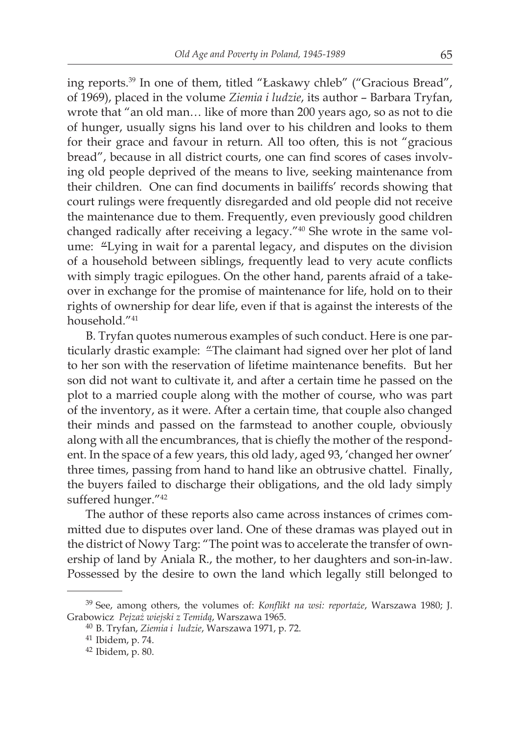ing reports.39 In one of them, titled "Łaskawy chleb" ("Gracious Bread", of 1969), placed in the volume *Ziemia i ludzie*, its author – Barbara Tryfan, wrote that "an old man… like of more than 200 years ago, so as not to die of hunger, usually signs his land over to his children and looks to them for their grace and favour in return. All too often, this is not "gracious bread", because in all district courts, one can find scores of cases involving old people deprived of the means to live, seeking maintenance from their children. One can find documents in bailiffs' records showing that court rulings were frequently disregarded and old people did not receive the maintenance due to them. Frequently, even previously good children changed radically after receiving a legacy."<sup>40</sup> She wrote in the same volume: "Lying in wait for a parental legacy, and disputes on the division of a household between siblings, frequently lead to very acute conflicts with simply tragic epilogues. On the other hand, parents afraid of a takeover in exchange for the promise of maintenance for life, hold on to their rights of ownership for dear life, even if that is against the interests of the household."41

B. Tryfan quotes numerous examples of such conduct. Here is one particularly drastic example: "The claimant had signed over her plot of land to her son with the reservation of lifetime maintenance benefits. But her son did not want to cultivate it, and after a certain time he passed on the plot to a married couple along with the mother of course, who was part of the inventory, as it were. After a certain time, that couple also changed their minds and passed on the farmstead to another couple, obviously along with all the encumbrances, that is chiefly the mother of the respondent. In the space of a few years, this old lady, aged 93, 'changed her owner' three times, passing from hand to hand like an obtrusive chattel. Finally, the buyers failed to discharge their obligations, and the old lady simply suffered hunger."<sup>42</sup>

The author of these reports also came across instances of crimes committed due to disputes over land. One of these dramas was played out in the district of Nowy Targ: "The point was to accelerate the transfer of ownership of land by Aniala R., the mother, to her daughters and son-in-law. Possessed by the desire to own the land which legally still belonged to

<sup>39</sup> See, among others, the volumes of: *Konflikt na wsi: reportaże*, Warszawa 1980; J. Grabowicz *Pejzaż wiejski z Temidą*, Warszawa 1965.

<sup>40</sup> B. Tryfan, *Ziemia i ludzie*, Warszawa 1971, p. 72.

<sup>41</sup> Ibidem, p. 74.

<sup>42</sup> Ibidem, p. 80.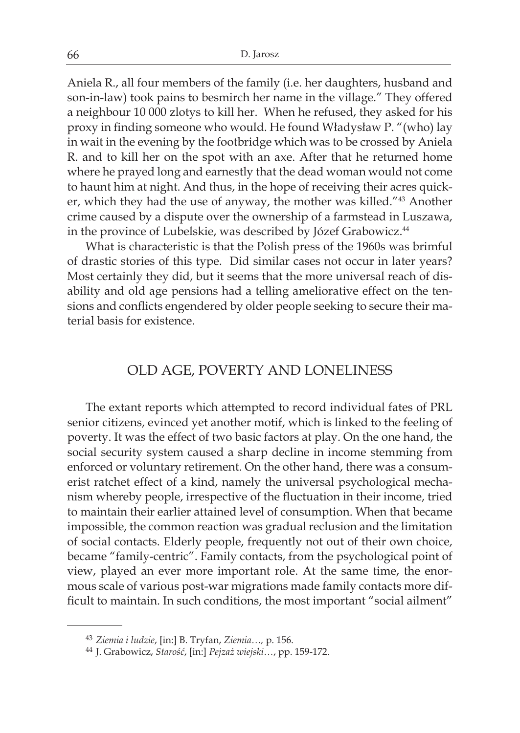Aniela R., all four members of the family (i.e. her daughters, husband and son-in-law) took pains to besmirch her name in the village." They offered a neighbour 10 000 zlotys to kill her. When he refused, they asked for his proxy in finding someone who would. He found Władysław P. "(who) lay in wait in the evening by the footbridge which was to be crossed by Aniela R. and to kill her on the spot with an axe. After that he returned home where he prayed long and earnestly that the dead woman would not come to haunt him at night. And thus, in the hope of receiving their acres quicker, which they had the use of anyway, the mother was killed."43 Another crime caused by a dispute over the ownership of a farmstead in Luszawa, in the province of Lubelskie, was described by Józef Grabowicz.<sup>44</sup>

What is characteristic is that the Polish press of the 1960s was brimful of drastic stories of this type. Did similar cases not occur in later years? Most certainly they did, but it seems that the more universal reach of disability and old age pensions had a telling ameliorative effect on the tensions and conflicts engendered by older people seeking to secure their material basis for existence.

# OLD AGE, POVERTY AND LONELINESS

The extant reports which attempted to record individual fates of PRL senior citizens, evinced yet another motif, which is linked to the feeling of poverty. It was the effect of two basic factors at play. On the one hand, the social security system caused a sharp decline in income stemming from enforced or voluntary retirement. On the other hand, there was a consumerist ratchet effect of a kind, namely the universal psychological mechanism whereby people, irrespective of the fluctuation in their income, tried to maintain their earlier attained level of consumption. When that became impossible, the common reaction was gradual reclusion and the limitation of social contacts. Elderly people, frequently not out of their own choice, became "family-centric". Family contacts, from the psychological point of view, played an ever more important role. At the same time, the enormous scale of various post-war migrations made family contacts more difficult to maintain. In such conditions, the most important "social ailment"

<sup>43</sup> *Ziemia i ludzie*, [in:] B. Tryfan, *Ziemia…,* p. 156.

<sup>44</sup> J. Grabowicz, *Starość*, [in:] *Pejzaż wiejski…*, pp. 159-172.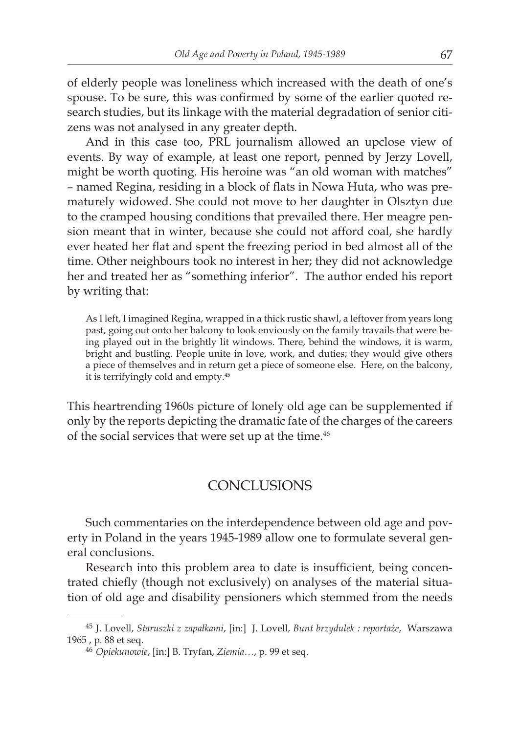of elderly people was loneliness which increased with the death of one's spouse. To be sure, this was confirmed by some of the earlier quoted research studies, but its linkage with the material degradation of senior citizens was not analysed in any greater depth.

And in this case too, PRL journalism allowed an upclose view of events. By way of example, at least one report, penned by Jerzy Lovell, might be worth quoting. His heroine was "an old woman with matches" – named Regina, residing in a block of flats in Nowa Huta, who was prematurely widowed. She could not move to her daughter in Olsztyn due to the cramped housing conditions that prevailed there. Her meagre pension meant that in winter, because she could not afford coal, she hardly ever heated her flat and spent the freezing period in bed almost all of the time. Other neighbours took no interest in her; they did not acknowledge her and treated her as "something inferior". The author ended his report by writing that:

As I left, I imagined Regina, wrapped in a thick rustic shawl, a leftover from years long past, going out onto her balcony to look enviously on the family travails that were being played out in the brightly lit windows. There, behind the windows, it is warm, bright and bustling. People unite in love, work, and duties; they would give others a piece of themselves and in return get a piece of someone else. Here, on the balcony, it is terrifyingly cold and empty.<sup>45</sup>

This heartrending 1960s picture of lonely old age can be supplemented if only by the reports depicting the dramatic fate of the charges of the careers of the social services that were set up at the time.<sup>46</sup>

# CONCLUSIONS

Such commentaries on the interdependence between old age and poverty in Poland in the years 1945-1989 allow one to formulate several general conclusions.

Research into this problem area to date is insufficient, being concentrated chiefly (though not exclusively) on analyses of the material situation of old age and disability pensioners which stemmed from the needs

<sup>45</sup> J. Lovell, *Staruszki z zapałkami*, [in:] J. Lovell, *Bunt brzydulek : reportaże*, Warszawa 1965 , p. 88 et seq.

<sup>46</sup> *Opiekunowie*, [in:] B. Tryfan, *Ziemia…*, p. 99 et seq.